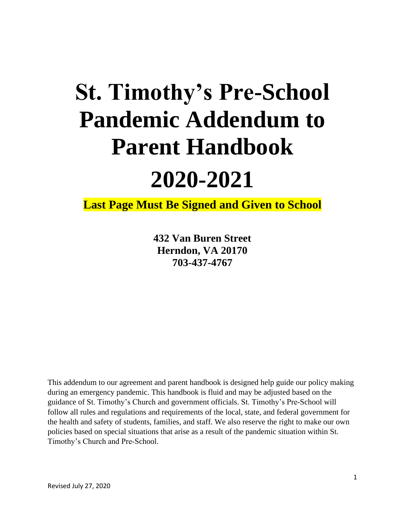# **St. Timothy's Pre-School Pandemic Addendum to Parent Handbook**

# **2020-2021**

**Last Page Must Be Signed and Given to School**

**432 Van Buren Street Herndon, VA 20170 703-437-4767**

This addendum to our agreement and parent handbook is designed help guide our policy making during an emergency pandemic. This handbook is fluid and may be adjusted based on the guidance of St. Timothy's Church and government officials. St. Timothy's Pre-School will follow all rules and regulations and requirements of the local, state, and federal government for the health and safety of students, families, and staff. We also reserve the right to make our own policies based on special situations that arise as a result of the pandemic situation within St. Timothy's Church and Pre-School.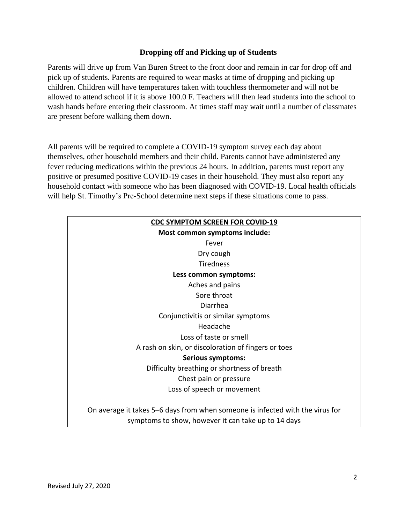#### **Dropping off and Picking up of Students**

Parents will drive up from Van Buren Street to the front door and remain in car for drop off and pick up of students. Parents are required to wear masks at time of dropping and picking up children. Children will have temperatures taken with touchless thermometer and will not be allowed to attend school if it is above 100.0 F. Teachers will then lead students into the school to wash hands before entering their classroom. At times staff may wait until a number of classmates are present before walking them down.

All parents will be required to complete a COVID-19 symptom survey each day about themselves, other household members and their child. Parents cannot have administered any fever reducing medications within the previous 24 hours. In addition, parents must report any positive or presumed positive COVID-19 cases in their household. They must also report any household contact with someone who has been diagnosed with COVID-19. Local health officials will help St. Timothy's Pre-School determine next steps if these situations come to pass.

| <b>CDC SYMPTOM SCREEN FOR COVID-19</b>                                        |  |  |
|-------------------------------------------------------------------------------|--|--|
| Most common symptoms include:                                                 |  |  |
| Fever                                                                         |  |  |
| Dry cough                                                                     |  |  |
| <b>Tiredness</b>                                                              |  |  |
| Less common symptoms:                                                         |  |  |
| Aches and pains                                                               |  |  |
| Sore throat                                                                   |  |  |
| Diarrhea                                                                      |  |  |
| Conjunctivitis or similar symptoms                                            |  |  |
| Headache                                                                      |  |  |
| Loss of taste or smell                                                        |  |  |
| A rash on skin, or discoloration of fingers or toes                           |  |  |
| Serious symptoms:                                                             |  |  |
| Difficulty breathing or shortness of breath                                   |  |  |
| Chest pain or pressure                                                        |  |  |
| Loss of speech or movement                                                    |  |  |
| On average it takes 5–6 days from when someone is infected with the virus for |  |  |
| symptoms to show, however it can take up to 14 days                           |  |  |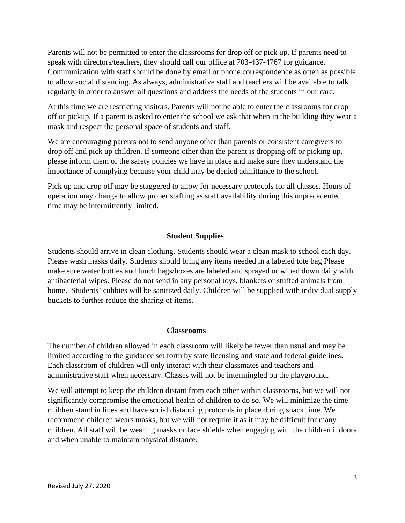Parents will not be permitted to enter the classrooms for drop off or pick up. If parents need to speak with directors/teachers, they should call our office at 703-437-4767 for guidance. Communication with staff should be done by email or phone correspondence as often as possible to allow social distancing. As always, administrative staff and teachers will be available to talk regularly in order to answer all questions and address the needs of the students in our care.

At this time we are restricting visitors. Parents will not be able to enter the classrooms for drop off or pickup. If a parent is asked to enter the school we ask that when in the building they wear a mask and respect the personal space of students and staff.

We are encouraging parents not to send anyone other than parents or consistent caregivers to drop off and pick up children. If someone other than the parent is dropping off or picking up, please inform them of the safety policies we have in place and make sure they understand the importance of complying because your child may be denied admittance to the school.

Pick up and drop off may be staggered to allow for necessary protocols for all classes. Hours of operation may change to allow proper staffing as staff availability during this unprecedented time may be intermittently limited.

#### **Student Supplies**

Students should arrive in clean clothing. Students should wear a clean mask to school each day. Please wash masks daily. Students should bring any items needed in a labeled tote bag Please make sure water bottles and lunch bags/boxes are labeled and sprayed or wiped down daily with antibacterial wipes. Please do not send in any personal toys, blankets or stuffed animals from home. Students' cubbies will be sanitized daily. Children will be supplied with individual supply buckets to further reduce the sharing of items.

#### **Classrooms**

The number of children allowed in each classroom will likely be fewer than usual and may be limited according to the guidance set forth by state licensing and state and federal guidelines. Each classroom of children will only interact with their classmates and teachers and administrative staff when necessary. Classes will not be intermingled on the playground.

We will attempt to keep the children distant from each other within classrooms, but we will not significantly compromise the emotional health of children to do so. We will minimize the time children stand in lines and have social distancing protocols in place during snack time. We recommend children wears masks, but we will not require it as it may be difficult for many children. All staff will be wearing masks or face shields when engaging with the children indoors and when unable to maintain physical distance.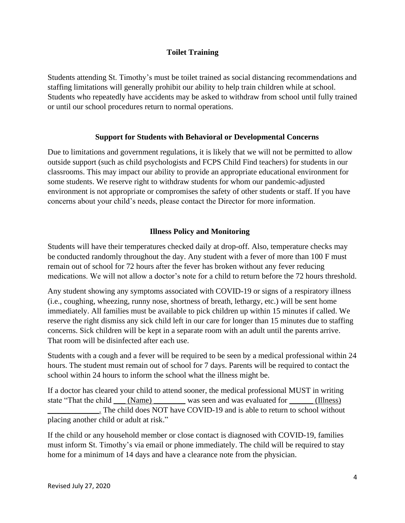#### **Toilet Training**

Students attending St. Timothy's must be toilet trained as social distancing recommendations and staffing limitations will generally prohibit our ability to help train children while at school. Students who repeatedly have accidents may be asked to withdraw from school until fully trained or until our school procedures return to normal operations.

#### **Support for Students with Behavioral or Developmental Concerns**

Due to limitations and government regulations, it is likely that we will not be permitted to allow outside support (such as child psychologists and FCPS Child Find teachers) for students in our classrooms. This may impact our ability to provide an appropriate educational environment for some students. We reserve right to withdraw students for whom our pandemic-adjusted environment is not appropriate or compromises the safety of other students or staff. If you have concerns about your child's needs, please contact the Director for more information.

#### **Illness Policy and Monitoring**

Students will have their temperatures checked daily at drop-off. Also, temperature checks may be conducted randomly throughout the day. Any student with a fever of more than 100 F must remain out of school for 72 hours after the fever has broken without any fever reducing medications. We will not allow a doctor's note for a child to return before the 72 hours threshold.

Any student showing any symptoms associated with COVID-19 or signs of a respiratory illness (i.e., coughing, wheezing, runny nose, shortness of breath, lethargy, etc.) will be sent home immediately. All families must be available to pick children up within 15 minutes if called. We reserve the right dismiss any sick child left in our care for longer than 15 minutes due to staffing concerns. Sick children will be kept in a separate room with an adult until the parents arrive. That room will be disinfected after each use.

Students with a cough and a fever will be required to be seen by a medical professional within 24 hours. The student must remain out of school for 7 days. Parents will be required to contact the school within 24 hours to inform the school what the illness might be.

If a doctor has cleared your child to attend sooner, the medical professional MUST in writing state "That the child (Name) was seen and was evaluated for (Illness) \_\_\_\_\_\_\_\_\_\_\_\_\_. The child does NOT have COVID-19 and is able to return to school without placing another child or adult at risk."

If the child or any household member or close contact is diagnosed with COVID-19, families must inform St. Timothy's via email or phone immediately. The child will be required to stay home for a minimum of 14 days and have a clearance note from the physician.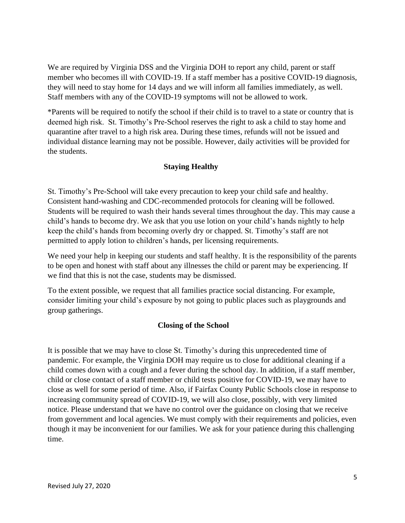We are required by Virginia DSS and the Virginia DOH to report any child, parent or staff member who becomes ill with COVID-19. If a staff member has a positive COVID-19 diagnosis, they will need to stay home for 14 days and we will inform all families immediately, as well. Staff members with any of the COVID-19 symptoms will not be allowed to work.

\*Parents will be required to notify the school if their child is to travel to a state or country that is deemed high risk. St. Timothy's Pre-School reserves the right to ask a child to stay home and quarantine after travel to a high risk area. During these times, refunds will not be issued and individual distance learning may not be possible. However, daily activities will be provided for the students.

## **Staying Healthy**

St. Timothy's Pre-School will take every precaution to keep your child safe and healthy. Consistent hand-washing and CDC-recommended protocols for cleaning will be followed. Students will be required to wash their hands several times throughout the day. This may cause a child's hands to become dry. We ask that you use lotion on your child's hands nightly to help keep the child's hands from becoming overly dry or chapped. St. Timothy's staff are not permitted to apply lotion to children's hands, per licensing requirements.

We need your help in keeping our students and staff healthy. It is the responsibility of the parents to be open and honest with staff about any illnesses the child or parent may be experiencing. If we find that this is not the case, students may be dismissed.

To the extent possible, we request that all families practice social distancing. For example, consider limiting your child's exposure by not going to public places such as playgrounds and group gatherings.

#### **Closing of the School**

It is possible that we may have to close St. Timothy's during this unprecedented time of pandemic. For example, the Virginia DOH may require us to close for additional cleaning if a child comes down with a cough and a fever during the school day. In addition, if a staff member, child or close contact of a staff member or child tests positive for COVID-19, we may have to close as well for some period of time. Also, if Fairfax County Public Schools close in response to increasing community spread of COVID-19, we will also close, possibly, with very limited notice. Please understand that we have no control over the guidance on closing that we receive from government and local agencies. We must comply with their requirements and policies, even though it may be inconvenient for our families. We ask for your patience during this challenging time.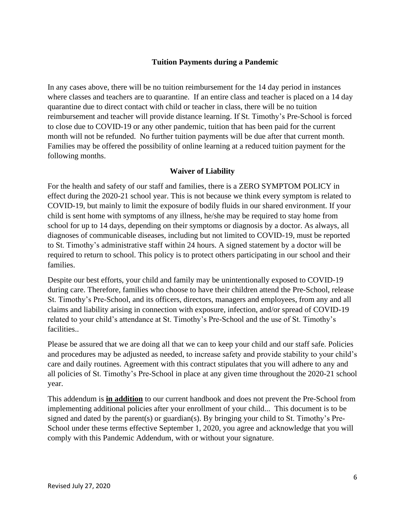#### **Tuition Payments during a Pandemic**

In any cases above, there will be no tuition reimbursement for the 14 day period in instances where classes and teachers are to quarantine. If an entire class and teacher is placed on a 14 day quarantine due to direct contact with child or teacher in class, there will be no tuition reimbursement and teacher will provide distance learning. If St. Timothy's Pre-School is forced to close due to COVID-19 or any other pandemic, tuition that has been paid for the current month will not be refunded. No further tuition payments will be due after that current month. Families may be offered the possibility of online learning at a reduced tuition payment for the following months.

#### **Waiver of Liability**

For the health and safety of our staff and families, there is a ZERO SYMPTOM POLICY in effect during the 2020-21 school year. This is not because we think every symptom is related to COVID-19, but mainly to limit the exposure of bodily fluids in our shared environment. If your child is sent home with symptoms of any illness, he/she may be required to stay home from school for up to 14 days, depending on their symptoms or diagnosis by a doctor. As always, all diagnoses of communicable diseases, including but not limited to COVID-19, must be reported to St. Timothy's administrative staff within 24 hours. A signed statement by a doctor will be required to return to school. This policy is to protect others participating in our school and their families.

Despite our best efforts, your child and family may be unintentionally exposed to COVID-19 during care. Therefore, families who choose to have their children attend the Pre-School, release St. Timothy's Pre-School, and its officers, directors, managers and employees, from any and all claims and liability arising in connection with exposure, infection, and/or spread of COVID-19 related to your child's attendance at St. Timothy's Pre-School and the use of St. Timothy's facilities..

Please be assured that we are doing all that we can to keep your child and our staff safe. Policies and procedures may be adjusted as needed, to increase safety and provide stability to your child's care and daily routines. Agreement with this contract stipulates that you will adhere to any and all policies of St. Timothy's Pre-School in place at any given time throughout the 2020-21 school year.

This addendum is **in addition** to our current handbook and does not prevent the Pre-School from implementing additional policies after your enrollment of your child... This document is to be signed and dated by the parent(s) or guardian(s). By bringing your child to St. Timothy's Pre-School under these terms effective September 1, 2020, you agree and acknowledge that you will comply with this Pandemic Addendum, with or without your signature.